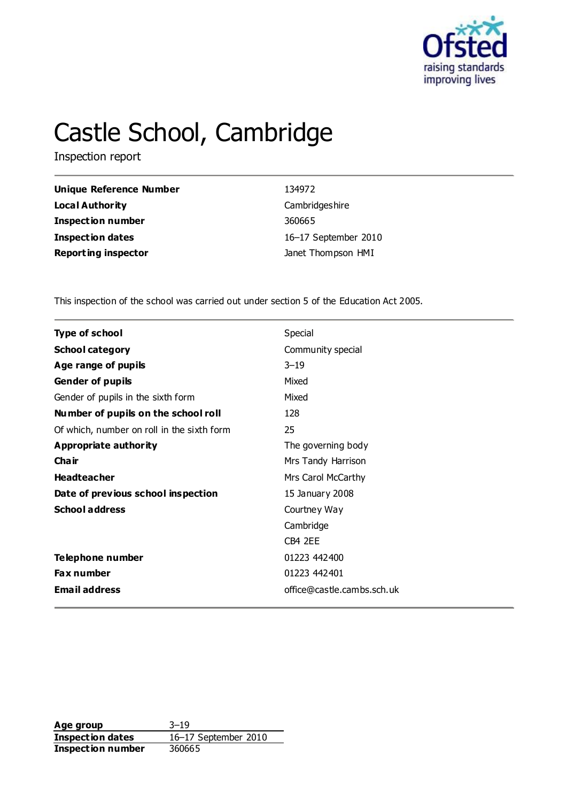

# Castle School, Cambridge

Inspection report

| <b>Unique Reference Number</b> | 134972               |
|--------------------------------|----------------------|
| Local Authority                | Cambridgeshire       |
| <b>Inspection number</b>       | 360665               |
| <b>Inspection dates</b>        | 16-17 September 2010 |
| <b>Reporting inspector</b>     | Janet Thompson HMI   |

This inspection of the school was carried out under section 5 of the Education Act 2005.

| <b>Type of school</b>                      | Special                    |
|--------------------------------------------|----------------------------|
| <b>School category</b>                     | Community special          |
| Age range of pupils                        | $3 - 19$                   |
| <b>Gender of pupils</b>                    | Mixed                      |
| Gender of pupils in the sixth form         | Mixed                      |
| Number of pupils on the school roll        | 128                        |
| Of which, number on roll in the sixth form | 25                         |
| Appropriate authority                      | The governing body         |
| Cha ir                                     | Mrs Tandy Harrison         |
| <b>Headteacher</b>                         | Mrs Carol McCarthy         |
| Date of previous school inspection         | 15 January 2008            |
| <b>School address</b>                      | Courtney Way               |
|                                            | Cambridge                  |
|                                            | CB4 2EE                    |
| Telephone number                           | 01223 442400               |
| <b>Fax number</b>                          | 01223 442401               |
| <b>Email address</b>                       | office@castle.cambs.sch.uk |

**Age group** 3–19 **Inspection dates** 16–17 September 2010 **Inspection dates** 16-17 S<br> **Inspection number** 360665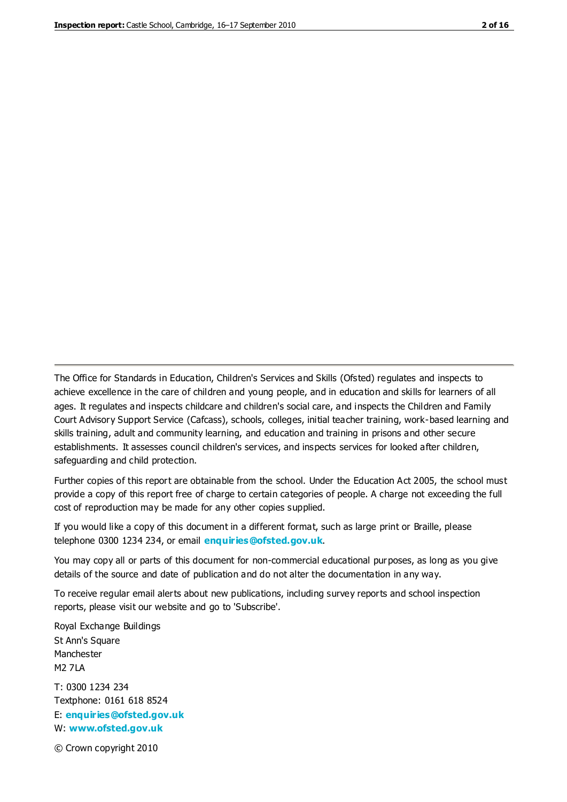The Office for Standards in Education, Children's Services and Skills (Ofsted) regulates and inspects to achieve excellence in the care of children and young people, and in education and skills for learners of all ages. It regulates and inspects childcare and children's social care, and inspects the Children and Family Court Advisory Support Service (Cafcass), schools, colleges, initial teacher training, work-based learning and skills training, adult and community learning, and education and training in prisons and other secure establishments. It assesses council children's services, and inspects services for looked after children, safeguarding and child protection.

Further copies of this report are obtainable from the school. Under the Education Act 2005, the school must provide a copy of this report free of charge to certain categories of people. A charge not exceeding the full cost of reproduction may be made for any other copies supplied.

If you would like a copy of this document in a different format, such as large print or Braille, please telephone 0300 1234 234, or email **[enquiries@ofsted.gov.uk](mailto:enquiries@ofsted.gov.uk)**.

You may copy all or parts of this document for non-commercial educational purposes, as long as you give details of the source and date of publication and do not alter the documentation in any way.

To receive regular email alerts about new publications, including survey reports and school inspection reports, please visit our website and go to 'Subscribe'.

Royal Exchange Buildings St Ann's Square Manchester M2 7LA T: 0300 1234 234 Textphone: 0161 618 8524 E: **[enquiries@ofsted.gov.uk](mailto:enquiries@ofsted.gov.uk)** W: **[www.ofsted.gov.uk](http://www.ofsted.gov.uk/)**

© Crown copyright 2010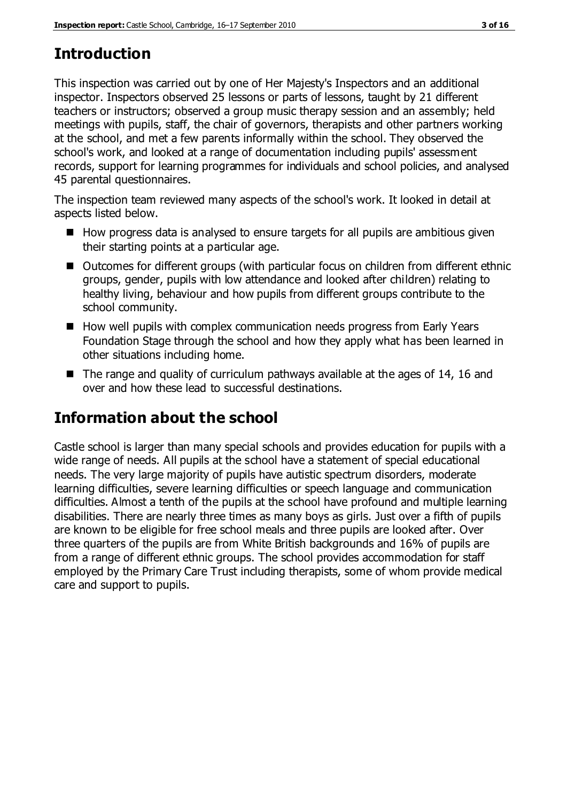# **Introduction**

This inspection was carried out by one of Her Majesty's Inspectors and an additional inspector. Inspectors observed 25 lessons or parts of lessons, taught by 21 different teachers or instructors; observed a group music therapy session and an assembly; held meetings with pupils, staff, the chair of governors, therapists and other partners working at the school, and met a few parents informally within the school. They observed the school's work, and looked at a range of documentation including pupils' assessment records, support for learning programmes for individuals and school policies, and analysed 45 parental questionnaires.

The inspection team reviewed many aspects of the school's work. It looked in detail at aspects listed below.

- $\blacksquare$  How progress data is analysed to ensure targets for all pupils are ambitious given their starting points at a particular age.
- Outcomes for different groups (with particular focus on children from different ethnic groups, gender, pupils with low attendance and looked after children) relating to healthy living, behaviour and how pupils from different groups contribute to the school community.
- How well pupils with complex communication needs progress from Early Years Foundation Stage through the school and how they apply what has been learned in other situations including home.
- $\blacksquare$  The range and quality of curriculum pathways available at the ages of 14, 16 and over and how these lead to successful destinations.

# **Information about the school**

Castle school is larger than many special schools and provides education for pupils with a wide range of needs. All pupils at the school have a statement of special educational needs. The very large majority of pupils have autistic spectrum disorders, moderate learning difficulties, severe learning difficulties or speech language and communication difficulties. Almost a tenth of the pupils at the school have profound and multiple learning disabilities. There are nearly three times as many boys as girls. Just over a fifth of pupils are known to be eligible for free school meals and three pupils are looked after. Over three quarters of the pupils are from White British backgrounds and 16% of pupils are from a range of different ethnic groups. The school provides accommodation for staff employed by the Primary Care Trust including therapists, some of whom provide medical care and support to pupils.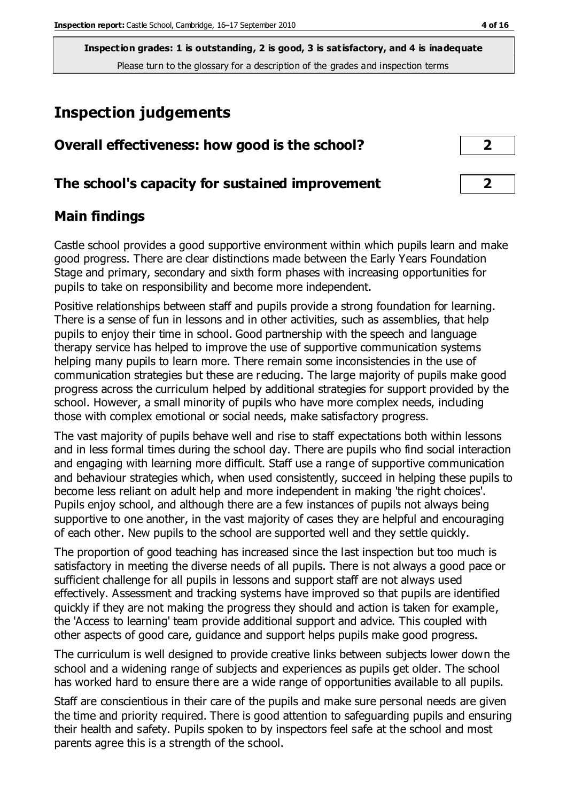# **Inspection judgements**

| Overall effectiveness: how good is the school?  |  |
|-------------------------------------------------|--|
| The school's capacity for sustained improvement |  |

#### **Main findings**

Castle school provides a good supportive environment within which pupils learn and make good progress. There are clear distinctions made between the Early Years Foundation Stage and primary, secondary and sixth form phases with increasing opportunities for pupils to take on responsibility and become more independent.

Positive relationships between staff and pupils provide a strong foundation for learning. There is a sense of fun in lessons and in other activities, such as assemblies, that help pupils to enjoy their time in school. Good partnership with the speech and language therapy service has helped to improve the use of supportive communication systems helping many pupils to learn more. There remain some inconsistencies in the use of communication strategies but these are reducing. The large majority of pupils make good progress across the curriculum helped by additional strategies for support provided by the school. However, a small minority of pupils who have more complex needs, including those with complex emotional or social needs, make satisfactory progress.

The vast majority of pupils behave well and rise to staff expectations both within lessons and in less formal times during the school day. There are pupils who find social interaction and engaging with learning more difficult. Staff use a range of supportive communication and behaviour strategies which, when used consistently, succeed in helping these pupils to become less reliant on adult help and more independent in making 'the right choices'. Pupils enjoy school, and although there are a few instances of pupils not always being supportive to one another, in the vast majority of cases they are helpful and encouraging of each other. New pupils to the school are supported well and they settle quickly.

The proportion of good teaching has increased since the last inspection but too much is satisfactory in meeting the diverse needs of all pupils. There is not always a good pace or sufficient challenge for all pupils in lessons and support staff are not always used effectively. Assessment and tracking systems have improved so that pupils are identified quickly if they are not making the progress they should and action is taken for example, the 'Access to learning' team provide additional support and advice. This coupled with other aspects of good care, guidance and support helps pupils make good progress.

The curriculum is well designed to provide creative links between subjects lower down the school and a widening range of subjects and experiences as pupils get older. The school has worked hard to ensure there are a wide range of opportunities available to all pupils.

Staff are conscientious in their care of the pupils and make sure personal needs are given the time and priority required. There is good attention to safeguarding pupils and ensuring their health and safety. Pupils spoken to by inspectors feel safe at the school and most parents agree this is a strength of the school.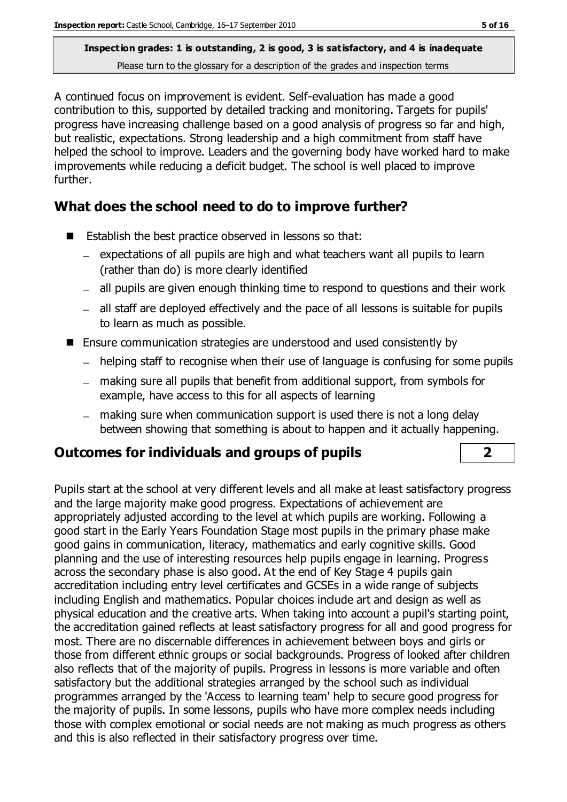A continued focus on improvement is evident. Self-evaluation has made a good contribution to this, supported by detailed tracking and monitoring. Targets for pupils' progress have increasing challenge based on a good analysis of progress so far and high, but realistic, expectations. Strong leadership and a high commitment from staff have helped the school to improve. Leaders and the governing body have worked hard to make improvements while reducing a deficit budget. The school is well placed to improve further.

### **What does the school need to do to improve further?**

- Establish the best practice observed in lessons so that:
	- $\overline{a}$  expectations of all pupils are high and what teachers want all pupils to learn (rather than do) is more clearly identified
	- all pupils are given enough thinking time to respond to questions and their work
	- all staff are deployed effectively and the pace of all lessons is suitable for pupils to learn as much as possible.
- Ensure communication strategies are understood and used consistently by
	- helping staff to recognise when their use of language is confusing for some pupils
	- making sure all pupils that benefit from additional support, from symbols for example, have access to this for all aspects of learning
	- making sure when communication support is used there is not a long delay between showing that something is about to happen and it actually happening.

#### **Outcomes for individuals and groups of pupils 2**

Pupils start at the school at very different levels and all make at least satisfactory progress and the large majority make good progress. Expectations of achievement are appropriately adjusted according to the level at which pupils are working. Following a good start in the Early Years Foundation Stage most pupils in the primary phase make good gains in communication, literacy, mathematics and early cognitive skills. Good planning and the use of interesting resources help pupils engage in learning. Progress across the secondary phase is also good. At the end of Key Stage 4 pupils gain accreditation including entry level certificates and GCSEs in a wide range of subjects including English and mathematics. Popular choices include art and design as well as physical education and the creative arts. When taking into account a pupil's starting point, the accreditation gained reflects at least satisfactory progress for all and good progress for most. There are no discernable differences in achievement between boys and girls or those from different ethnic groups or social backgrounds. Progress of looked after children also reflects that of the majority of pupils. Progress in lessons is more variable and often satisfactory but the additional strategies arranged by the school such as individual programmes arranged by the 'Access to learning team' help to secure good progress for the majority of pupils. In some lessons, pupils who have more complex needs including those with complex emotional or social needs are not making as much progress as others and this is also reflected in their satisfactory progress over time.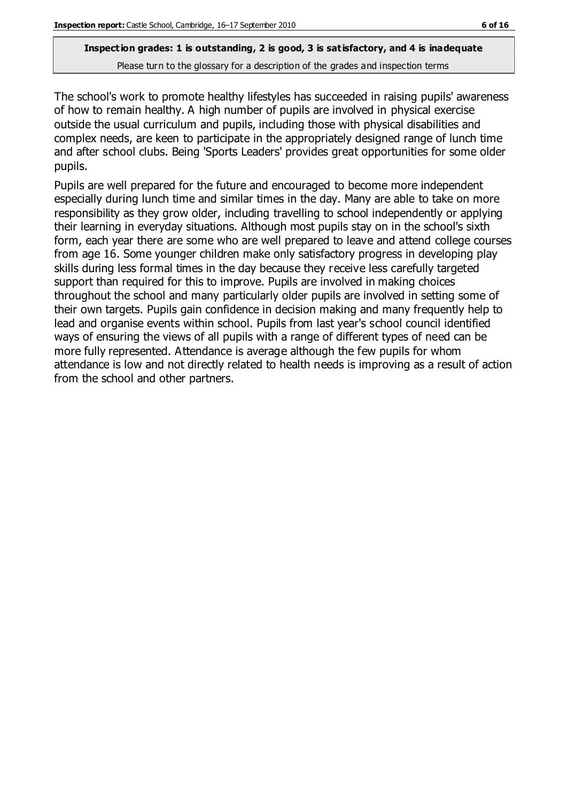The school's work to promote healthy lifestyles has succeeded in raising pupils' awareness of how to remain healthy. A high number of pupils are involved in physical exercise outside the usual curriculum and pupils, including those with physical disabilities and complex needs, are keen to participate in the appropriately designed range of lunch time and after school clubs. Being 'Sports Leaders' provides great opportunities for some older pupils.

Pupils are well prepared for the future and encouraged to become more independent especially during lunch time and similar times in the day. Many are able to take on more responsibility as they grow older, including travelling to school independently or applying their learning in everyday situations. Although most pupils stay on in the school's sixth form, each year there are some who are well prepared to leave and attend college courses from age 16. Some younger children make only satisfactory progress in developing play skills during less formal times in the day because they receive less carefully targeted support than required for this to improve. Pupils are involved in making choices throughout the school and many particularly older pupils are involved in setting some of their own targets. Pupils gain confidence in decision making and many frequently help to lead and organise events within school. Pupils from last year's school council identified ways of ensuring the views of all pupils with a range of different types of need can be more fully represented. Attendance is average although the few pupils for whom attendance is low and not directly related to health needs is improving as a result of action from the school and other partners.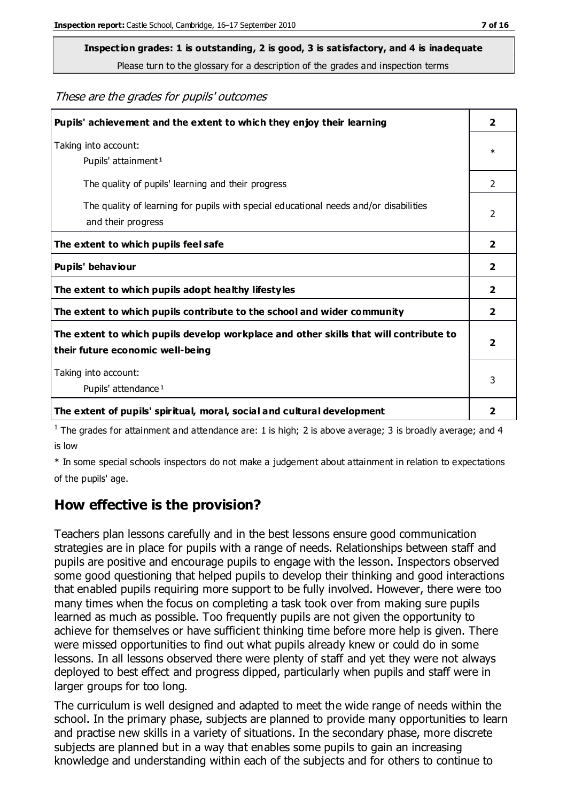# **Inspection grades: 1 is outstanding, 2 is good, 3 is satisfactory, and 4 is inadequate**

Please turn to the glossary for a description of the grades and inspection terms

#### These are the grades for pupils' outcomes

| Pupils' achievement and the extent to which they enjoy their learning                                                     | $\overline{\mathbf{2}}$ |
|---------------------------------------------------------------------------------------------------------------------------|-------------------------|
| Taking into account:<br>Pupils' attainment <sup>1</sup>                                                                   | $\ast$                  |
| The quality of pupils' learning and their progress                                                                        | $\mathcal{P}$           |
| The quality of learning for pupils with special educational needs and/or disabilities<br>and their progress               | $\overline{2}$          |
| The extent to which pupils feel safe                                                                                      | 2                       |
| Pupils' behaviour                                                                                                         | 2                       |
| The extent to which pupils adopt healthy lifestyles                                                                       | 2                       |
| The extent to which pupils contribute to the school and wider community                                                   | 2                       |
| The extent to which pupils develop workplace and other skills that will contribute to<br>their future economic well-being | $\overline{\mathbf{2}}$ |
| Taking into account:<br>Pupils' attendance <sup>1</sup>                                                                   | 3                       |
| The extent of pupils' spiritual, moral, social and cultural development                                                   | 2                       |

<sup>1</sup> The grades for attainment and attendance are: 1 is high; 2 is above average; 3 is broadly average; and 4 is low

\* In some special schools inspectors do not make a judgement about attainment in relation to expectations of the pupils' age.

#### **How effective is the provision?**

Teachers plan lessons carefully and in the best lessons ensure good communication strategies are in place for pupils with a range of needs. Relationships between staff and pupils are positive and encourage pupils to engage with the lesson. Inspectors observed some good questioning that helped pupils to develop their thinking and good interactions that enabled pupils requiring more support to be fully involved. However, there were too many times when the focus on completing a task took over from making sure pupils learned as much as possible. Too frequently pupils are not given the opportunity to achieve for themselves or have sufficient thinking time before more help is given. There were missed opportunities to find out what pupils already knew or could do in some lessons. In all lessons observed there were plenty of staff and yet they were not always deployed to best effect and progress dipped, particularly when pupils and staff were in larger groups for too long.

The curriculum is well designed and adapted to meet the wide range of needs within the school. In the primary phase, subjects are planned to provide many opportunities to learn and practise new skills in a variety of situations. In the secondary phase, more discrete subjects are planned but in a way that enables some pupils to gain an increasing knowledge and understanding within each of the subjects and for others to continue to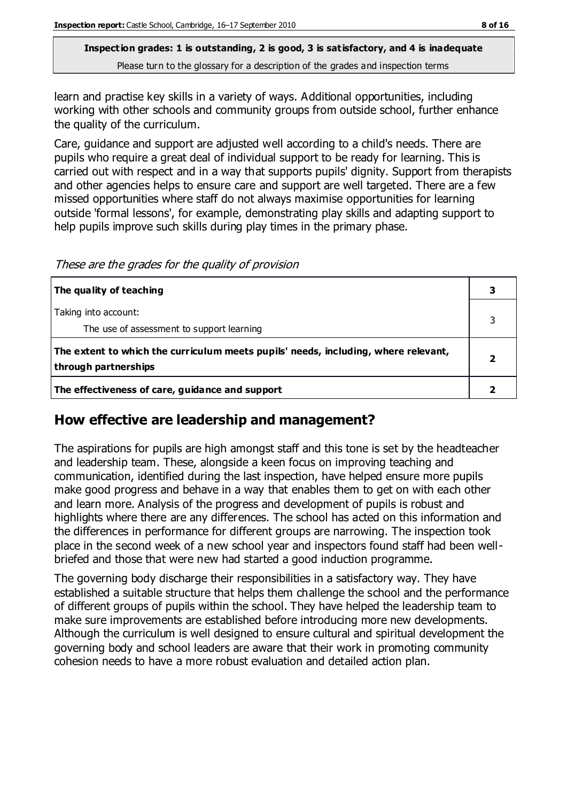learn and practise key skills in a variety of ways. Additional opportunities, including working with other schools and community groups from outside school, further enhance the quality of the curriculum.

Care, guidance and support are adjusted well according to a child's needs. There are pupils who require a great deal of individual support to be ready for learning. This is carried out with respect and in a way that supports pupils' dignity. Support from therapists and other agencies helps to ensure care and support are well targeted. There are a few missed opportunities where staff do not always maximise opportunities for learning outside 'formal lessons', for example, demonstrating play skills and adapting support to help pupils improve such skills during play times in the primary phase.

These are the grades for the quality of provision

| The quality of teaching                                                                                    |  |
|------------------------------------------------------------------------------------------------------------|--|
| Taking into account:<br>The use of assessment to support learning                                          |  |
| The extent to which the curriculum meets pupils' needs, including, where relevant,<br>through partnerships |  |
| The effectiveness of care, guidance and support                                                            |  |

#### **How effective are leadership and management?**

The aspirations for pupils are high amongst staff and this tone is set by the headteacher and leadership team. These, alongside a keen focus on improving teaching and communication, identified during the last inspection, have helped ensure more pupils make good progress and behave in a way that enables them to get on with each other and learn more. Analysis of the progress and development of pupils is robust and highlights where there are any differences. The school has acted on this information and the differences in performance for different groups are narrowing. The inspection took place in the second week of a new school year and inspectors found staff had been wellbriefed and those that were new had started a good induction programme.

The governing body discharge their responsibilities in a satisfactory way. They have established a suitable structure that helps them challenge the school and the performance of different groups of pupils within the school. They have helped the leadership team to make sure improvements are established before introducing more new developments. Although the curriculum is well designed to ensure cultural and spiritual development the governing body and school leaders are aware that their work in promoting community cohesion needs to have a more robust evaluation and detailed action plan.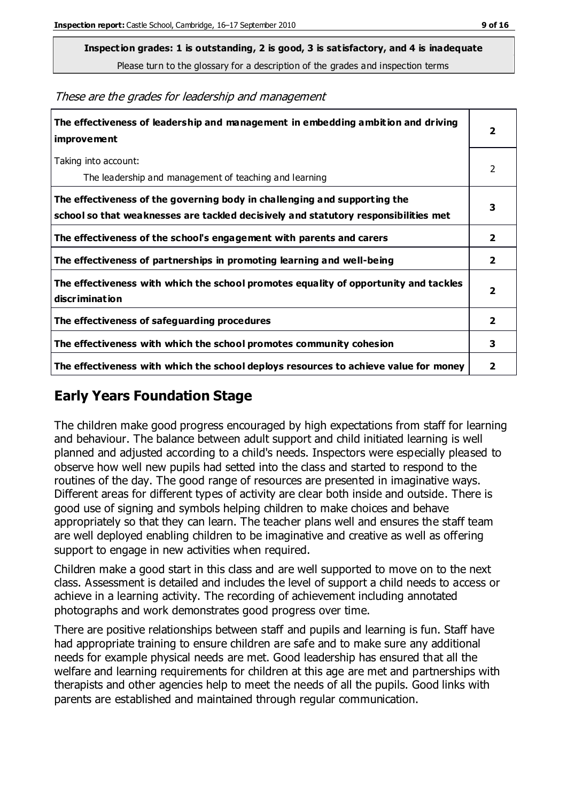**Inspection grades: 1 is outstanding, 2 is good, 3 is satisfactory, and 4 is inadequate**

Please turn to the glossary for a description of the grades and inspection terms

These are the grades for leadership and management

| The effectiveness of leadership and management in embedding ambition and driving<br><b>improvement</b>                                                           | $\overline{2}$          |
|------------------------------------------------------------------------------------------------------------------------------------------------------------------|-------------------------|
| Taking into account:<br>The leadership and management of teaching and learning                                                                                   | 2                       |
| The effectiveness of the governing body in challenging and supporting the<br>school so that weaknesses are tackled decisively and statutory responsibilities met | 3                       |
| The effectiveness of the school's engagement with parents and carers                                                                                             | $\overline{\mathbf{2}}$ |
| The effectiveness of partnerships in promoting learning and well-being                                                                                           | $\overline{2}$          |
| The effectiveness with which the school promotes equality of opportunity and tackles<br>discrimination                                                           | $\overline{\mathbf{2}}$ |
| The effectiveness of safeguarding procedures                                                                                                                     | 2                       |
| The effectiveness with which the school promotes community cohesion                                                                                              | 3                       |
| The effectiveness with which the school deploys resources to achieve value for money                                                                             | 2                       |

#### **Early Years Foundation Stage**

The children make good progress encouraged by high expectations from staff for learning and behaviour. The balance between adult support and child initiated learning is well planned and adjusted according to a child's needs. Inspectors were especially pleased to observe how well new pupils had setted into the class and started to respond to the routines of the day. The good range of resources are presented in imaginative ways. Different areas for different types of activity are clear both inside and outside. There is good use of signing and symbols helping children to make choices and behave appropriately so that they can learn. The teacher plans well and ensures the staff team are well deployed enabling children to be imaginative and creative as well as offering support to engage in new activities when required.

Children make a good start in this class and are well supported to move on to the next class. Assessment is detailed and includes the level of support a child needs to access or achieve in a learning activity. The recording of achievement including annotated photographs and work demonstrates good progress over time.

There are positive relationships between staff and pupils and learning is fun. Staff have had appropriate training to ensure children are safe and to make sure any additional needs for example physical needs are met. Good leadership has ensured that all the welfare and learning requirements for children at this age are met and partnerships with therapists and other agencies help to meet the needs of all the pupils. Good links with parents are established and maintained through regular communication.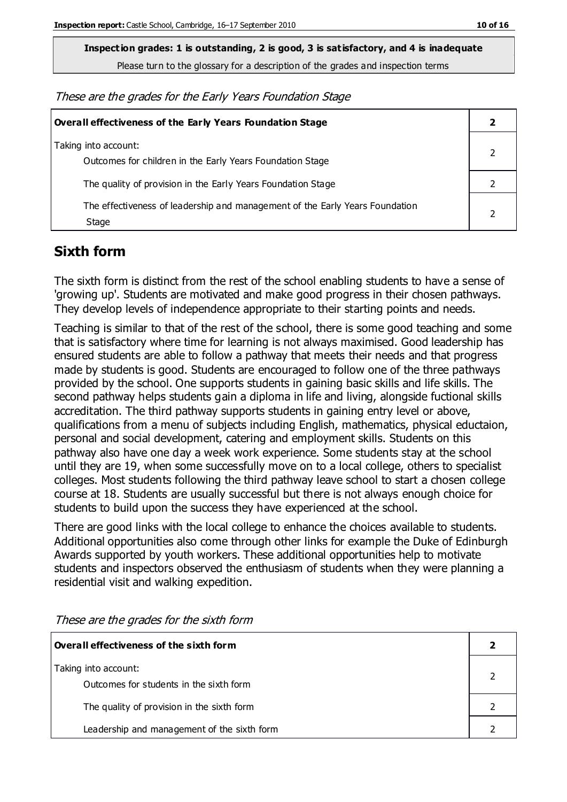**Inspection grades: 1 is outstanding, 2 is good, 3 is satisfactory, and 4 is inadequate**

Please turn to the glossary for a description of the grades and inspection terms

These are the grades for the Early Years Foundation Stage

| <b>Overall effectiveness of the Early Years Foundation Stage</b>                      |  |
|---------------------------------------------------------------------------------------|--|
| Taking into account:<br>Outcomes for children in the Early Years Foundation Stage     |  |
| The quality of provision in the Early Years Foundation Stage                          |  |
| The effectiveness of leadership and management of the Early Years Foundation<br>Stage |  |

#### **Sixth form**

The sixth form is distinct from the rest of the school enabling students to have a sense of 'growing up'. Students are motivated and make good progress in their chosen pathways. They develop levels of independence appropriate to their starting points and needs.

Teaching is similar to that of the rest of the school, there is some good teaching and some that is satisfactory where time for learning is not always maximised. Good leadership has ensured students are able to follow a pathway that meets their needs and that progress made by students is good. Students are encouraged to follow one of the three pathways provided by the school. One supports students in gaining basic skills and life skills. The second pathway helps students gain a diploma in life and living, alongside fuctional skills accreditation. The third pathway supports students in gaining entry level or above, qualifications from a menu of subjects including English, mathematics, physical eductaion, personal and social development, catering and employment skills. Students on this pathway also have one day a week work experience. Some students stay at the school until they are 19, when some successfully move on to a local college, others to specialist colleges. Most students following the third pathway leave school to start a chosen college course at 18. Students are usually successful but there is not always enough choice for students to build upon the success they have experienced at the school.

There are good links with the local college to enhance the choices available to students. Additional opportunities also come through other links for example the Duke of Edinburgh Awards supported by youth workers. These additional opportunities help to motivate students and inspectors observed the enthusiasm of students when they were planning a residential visit and walking expedition.

| Overall effectiveness of the sixth form                         |  |
|-----------------------------------------------------------------|--|
| Taking into account:<br>Outcomes for students in the sixth form |  |
| The quality of provision in the sixth form                      |  |
| Leadership and management of the sixth form                     |  |

These are the grades for the sixth form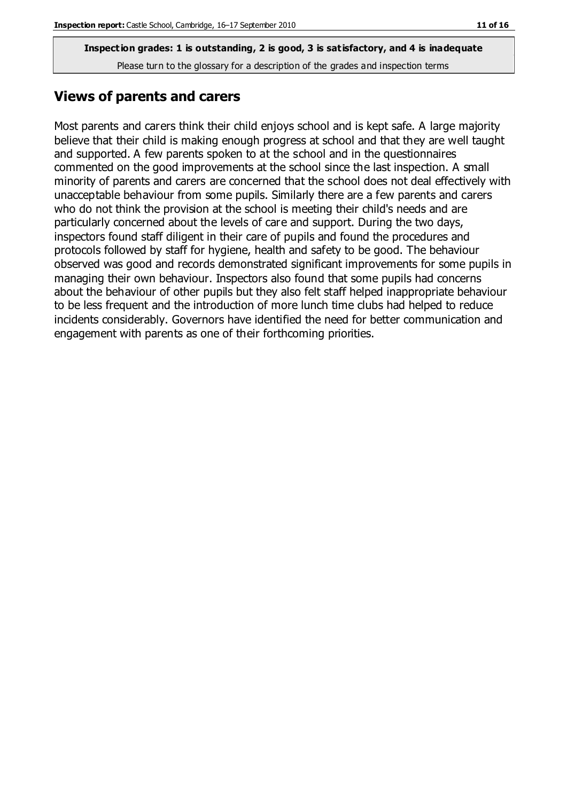#### **Views of parents and carers**

Most parents and carers think their child enjoys school and is kept safe. A large majority believe that their child is making enough progress at school and that they are well taught and supported. A few parents spoken to at the school and in the questionnaires commented on the good improvements at the school since the last inspection. A small minority of parents and carers are concerned that the school does not deal effectively with unacceptable behaviour from some pupils. Similarly there are a few parents and carers who do not think the provision at the school is meeting their child's needs and are particularly concerned about the levels of care and support. During the two days, inspectors found staff diligent in their care of pupils and found the procedures and protocols followed by staff for hygiene, health and safety to be good. The behaviour observed was good and records demonstrated significant improvements for some pupils in managing their own behaviour. Inspectors also found that some pupils had concerns about the behaviour of other pupils but they also felt staff helped inappropriate behaviour to be less frequent and the introduction of more lunch time clubs had helped to reduce incidents considerably. Governors have identified the need for better communication and engagement with parents as one of their forthcoming priorities.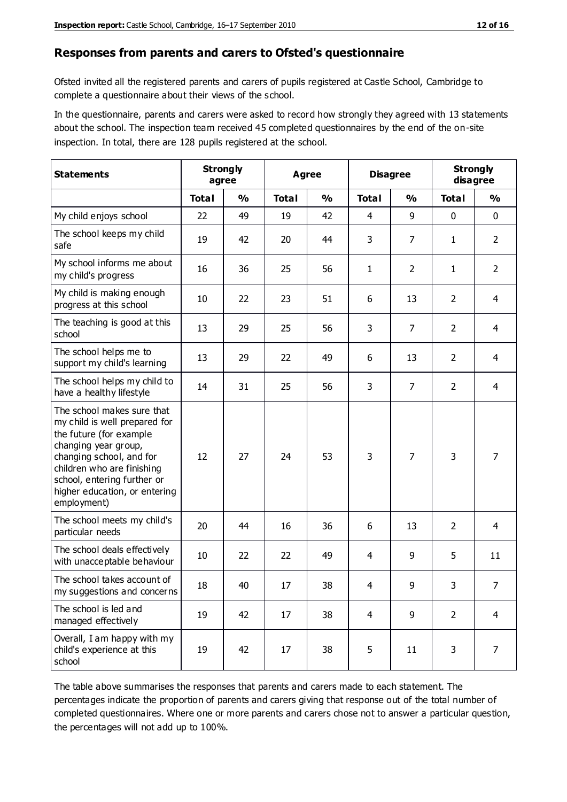#### **Responses from parents and carers to Ofsted's questionnaire**

Ofsted invited all the registered parents and carers of pupils registered at Castle School, Cambridge to complete a questionnaire about their views of the school.

In the questionnaire, parents and carers were asked to record how strongly they agreed with 13 statements about the school. The inspection team received 45 completed questionnaires by the end of the on-site inspection. In total, there are 128 pupils registered at the school.

| <b>Statements</b>                                                                                                                                                                                                                                       | <b>Strongly</b><br>agree |               |              | Agree         |                | <b>Disagree</b> |                | <b>Strongly</b><br>disagree |
|---------------------------------------------------------------------------------------------------------------------------------------------------------------------------------------------------------------------------------------------------------|--------------------------|---------------|--------------|---------------|----------------|-----------------|----------------|-----------------------------|
|                                                                                                                                                                                                                                                         | <b>Total</b>             | $\frac{0}{0}$ | <b>Total</b> | $\frac{0}{0}$ | <b>Total</b>   | $\frac{0}{0}$   | <b>Total</b>   | $\frac{0}{0}$               |
| My child enjoys school                                                                                                                                                                                                                                  | 22                       | 49            | 19           | 42            | 4              | 9               | $\mathbf 0$    | $\mathbf 0$                 |
| The school keeps my child<br>safe                                                                                                                                                                                                                       | 19                       | 42            | 20           | 44            | 3              | 7               | $\mathbf{1}$   | $\overline{2}$              |
| My school informs me about<br>my child's progress                                                                                                                                                                                                       | 16                       | 36            | 25           | 56            | 1              | $\overline{2}$  | $\mathbf{1}$   | $\overline{2}$              |
| My child is making enough<br>progress at this school                                                                                                                                                                                                    | 10                       | 22            | 23           | 51            | 6              | 13              | $\overline{2}$ | $\overline{4}$              |
| The teaching is good at this<br>school                                                                                                                                                                                                                  | 13                       | 29            | 25           | 56            | 3              | $\overline{7}$  | $\overline{2}$ | $\overline{4}$              |
| The school helps me to<br>support my child's learning                                                                                                                                                                                                   | 13                       | 29            | 22           | 49            | 6              | 13              | $\overline{2}$ | $\overline{4}$              |
| The school helps my child to<br>have a healthy lifestyle                                                                                                                                                                                                | 14                       | 31            | 25           | 56            | 3              | $\overline{7}$  | 2              | $\overline{4}$              |
| The school makes sure that<br>my child is well prepared for<br>the future (for example<br>changing year group,<br>changing school, and for<br>children who are finishing<br>school, entering further or<br>higher education, or entering<br>employment) | 12                       | 27            | 24           | 53            | 3              | $\overline{7}$  | 3              | $\overline{7}$              |
| The school meets my child's<br>particular needs                                                                                                                                                                                                         | 20                       | 44            | 16           | 36            | 6              | 13              | $\overline{2}$ | 4                           |
| The school deals effectively<br>with unacceptable behaviour                                                                                                                                                                                             | 10                       | 22            | 22           | 49            | 4              | 9               | 5              | 11                          |
| The school takes account of<br>my suggestions and concerns                                                                                                                                                                                              | 18                       | 40            | 17           | 38            | 4              | 9               | 3              | $\overline{7}$              |
| The school is led and<br>managed effectively                                                                                                                                                                                                            | 19                       | 42            | 17           | 38            | $\overline{4}$ | 9               | $\overline{2}$ | 4                           |
| Overall, I am happy with my<br>child's experience at this<br>school                                                                                                                                                                                     | 19                       | 42            | 17           | 38            | 5              | 11              | 3              | 7                           |

The table above summarises the responses that parents and carers made to each statement. The percentages indicate the proportion of parents and carers giving that response out of the total number of completed questionnaires. Where one or more parents and carers chose not to answer a particular question, the percentages will not add up to 100%.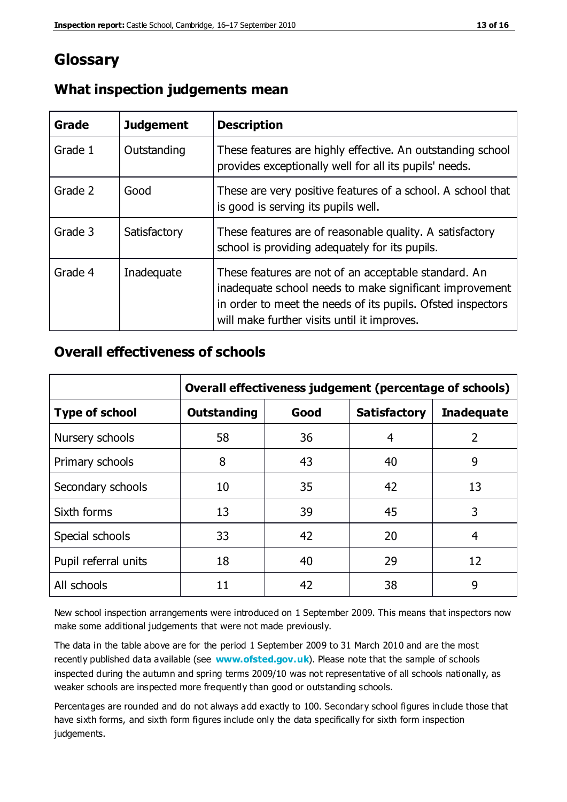## **Glossary**

| Grade   | <b>Judgement</b> | <b>Description</b>                                                                                                                                                                                                            |
|---------|------------------|-------------------------------------------------------------------------------------------------------------------------------------------------------------------------------------------------------------------------------|
| Grade 1 | Outstanding      | These features are highly effective. An outstanding school<br>provides exceptionally well for all its pupils' needs.                                                                                                          |
| Grade 2 | Good             | These are very positive features of a school. A school that<br>is good is serving its pupils well.                                                                                                                            |
| Grade 3 | Satisfactory     | These features are of reasonable quality. A satisfactory<br>school is providing adequately for its pupils.                                                                                                                    |
| Grade 4 | Inadequate       | These features are not of an acceptable standard. An<br>inadequate school needs to make significant improvement<br>in order to meet the needs of its pupils. Ofsted inspectors<br>will make further visits until it improves. |

#### **What inspection judgements mean**

#### **Overall effectiveness of schools**

|                       | Overall effectiveness judgement (percentage of schools) |      |                     |                   |
|-----------------------|---------------------------------------------------------|------|---------------------|-------------------|
| <b>Type of school</b> | <b>Outstanding</b>                                      | Good | <b>Satisfactory</b> | <b>Inadequate</b> |
| Nursery schools       | 58                                                      | 36   | 4                   | 2                 |
| Primary schools       | 8                                                       | 43   | 40                  | 9                 |
| Secondary schools     | 10                                                      | 35   | 42                  | 13                |
| Sixth forms           | 13                                                      | 39   | 45                  | 3                 |
| Special schools       | 33                                                      | 42   | 20                  | 4                 |
| Pupil referral units  | 18                                                      | 40   | 29                  | 12                |
| All schools           | 11                                                      | 42   | 38                  | 9                 |

New school inspection arrangements were introduced on 1 September 2009. This means that inspectors now make some additional judgements that were not made previously.

The data in the table above are for the period 1 September 2009 to 31 March 2010 and are the most recently published data available (see **[www.ofsted.gov.uk](http://www.ofsted.gov.uk/)**). Please note that the sample of schools inspected during the autumn and spring terms 2009/10 was not representative of all schools nationally, as weaker schools are inspected more frequently than good or outstanding schools.

Percentages are rounded and do not always add exactly to 100. Secondary school figures in clude those that have sixth forms, and sixth form figures include only the data specifically for sixth form inspection judgements.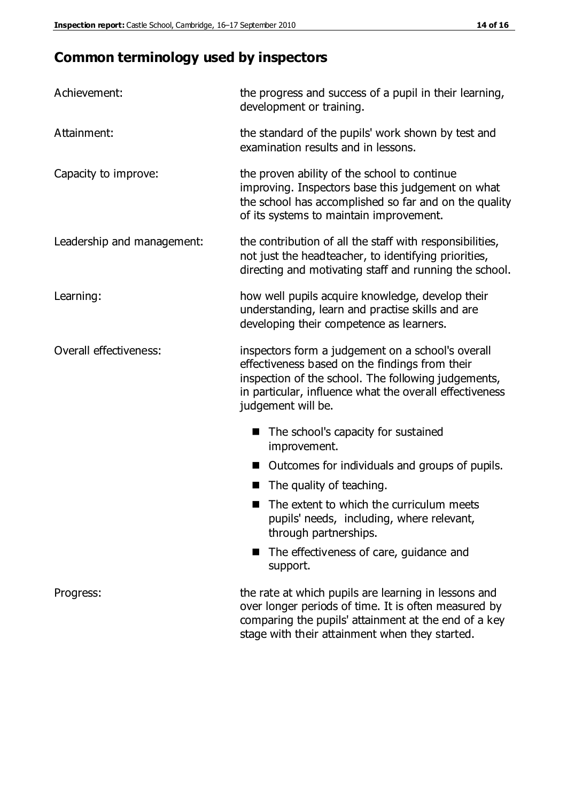# **Common terminology used by inspectors**

| Achievement:                  | the progress and success of a pupil in their learning,<br>development or training.                                                                                                                                                          |  |  |
|-------------------------------|---------------------------------------------------------------------------------------------------------------------------------------------------------------------------------------------------------------------------------------------|--|--|
| Attainment:                   | the standard of the pupils' work shown by test and<br>examination results and in lessons.                                                                                                                                                   |  |  |
| Capacity to improve:          | the proven ability of the school to continue<br>improving. Inspectors base this judgement on what<br>the school has accomplished so far and on the quality<br>of its systems to maintain improvement.                                       |  |  |
| Leadership and management:    | the contribution of all the staff with responsibilities,<br>not just the headteacher, to identifying priorities,<br>directing and motivating staff and running the school.                                                                  |  |  |
| Learning:                     | how well pupils acquire knowledge, develop their<br>understanding, learn and practise skills and are<br>developing their competence as learners.                                                                                            |  |  |
| <b>Overall effectiveness:</b> | inspectors form a judgement on a school's overall<br>effectiveness based on the findings from their<br>inspection of the school. The following judgements,<br>in particular, influence what the overall effectiveness<br>judgement will be. |  |  |
|                               | The school's capacity for sustained<br>improvement.                                                                                                                                                                                         |  |  |
|                               | Outcomes for individuals and groups of pupils.                                                                                                                                                                                              |  |  |
|                               | The quality of teaching.                                                                                                                                                                                                                    |  |  |
|                               | The extent to which the curriculum meets<br>pupils' needs, including, where relevant,<br>through partnerships.                                                                                                                              |  |  |
|                               | The effectiveness of care, guidance and<br>support.                                                                                                                                                                                         |  |  |
| Progress:                     | the rate at which pupils are learning in lessons and<br>over longer periods of time. It is often measured by<br>comparing the pupils' attainment at the end of a key                                                                        |  |  |

stage with their attainment when they started.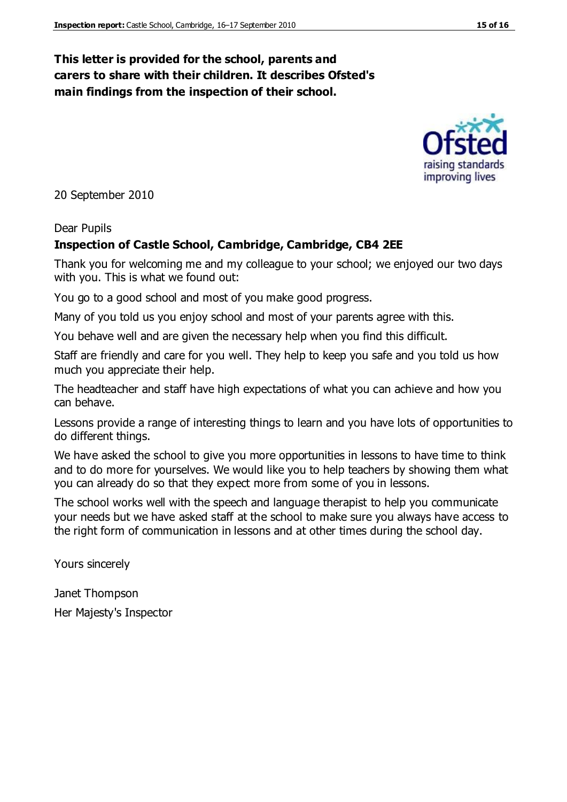#### **This letter is provided for the school, parents and carers to share with their children. It describes Ofsted's main findings from the inspection of their school.**

20 September 2010

#### Dear Pupils

#### **Inspection of Castle School, Cambridge, Cambridge, CB4 2EE**

Thank you for welcoming me and my colleague to your school; we enjoyed our two days with you. This is what we found out:

You go to a good school and most of you make good progress.

Many of you told us you enjoy school and most of your parents agree with this.

You behave well and are given the necessary help when you find this difficult.

Staff are friendly and care for you well. They help to keep you safe and you told us how much you appreciate their help.

The headteacher and staff have high expectations of what you can achieve and how you can behave.

Lessons provide a range of interesting things to learn and you have lots of opportunities to do different things.

We have asked the school to give you more opportunities in lessons to have time to think and to do more for yourselves. We would like you to help teachers by showing them what you can already do so that they expect more from some of you in lessons.

The school works well with the speech and language therapist to help you communicate your needs but we have asked staff at the school to make sure you always have access to the right form of communication in lessons and at other times during the school day.

Yours sincerely

Janet Thompson Her Majesty's Inspector